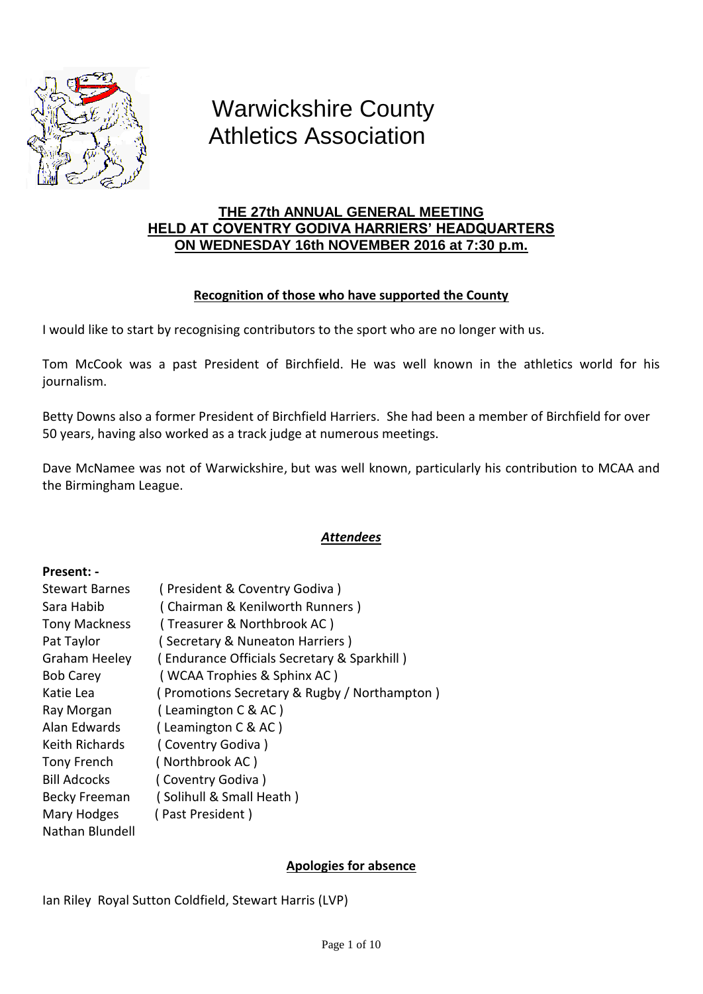

# Warwickshire County Athletics Association

# **THE 27th ANNUAL GENERAL MEETING HELD AT COVENTRY GODIVA HARRIERS' HEADQUARTERS ON WEDNESDAY 16th NOVEMBER 2016 at 7:30 p.m.**

# **Recognition of those who have supported the County**

I would like to start by recognising contributors to the sport who are no longer with us.

Tom McCook was a past President of Birchfield. He was well known in the athletics world for his journalism.

Betty Downs also a former President of Birchfield Harriers. She had been a member of Birchfield for over 50 years, having also worked as a track judge at numerous meetings.

Dave McNamee was not of Warwickshire, but was well known, particularly his contribution to MCAA and the Birmingham League.

# *Attendees*

## **Present: -**

| <b>Stewart Barnes</b> | (President & Coventry Godiva)                |
|-----------------------|----------------------------------------------|
| Sara Habib            | (Chairman & Kenilworth Runners)              |
| <b>Tony Mackness</b>  | (Treasurer & Northbrook AC)                  |
| Pat Taylor            | (Secretary & Nuneaton Harriers)              |
| Graham Heeley         | (Endurance Officials Secretary & Sparkhill)  |
| <b>Bob Carey</b>      | (WCAA Trophies & Sphinx AC)                  |
| Katie Lea             | (Promotions Secretary & Rugby / Northampton) |
| Ray Morgan            | (Leamington C & AC)                          |
| Alan Edwards          | (Leamington C & AC)                          |
| Keith Richards        | (Coventry Godiva)                            |
| Tony French           | (Northbrook AC)                              |
| <b>Bill Adcocks</b>   | (Coventry Godiva)                            |
| Becky Freeman         | (Solihull & Small Heath)                     |
| Mary Hodges           | (Past President)                             |
| Nathan Blundell       |                                              |

# **Apologies for absence**

Ian Riley Royal Sutton Coldfield, Stewart Harris (LVP)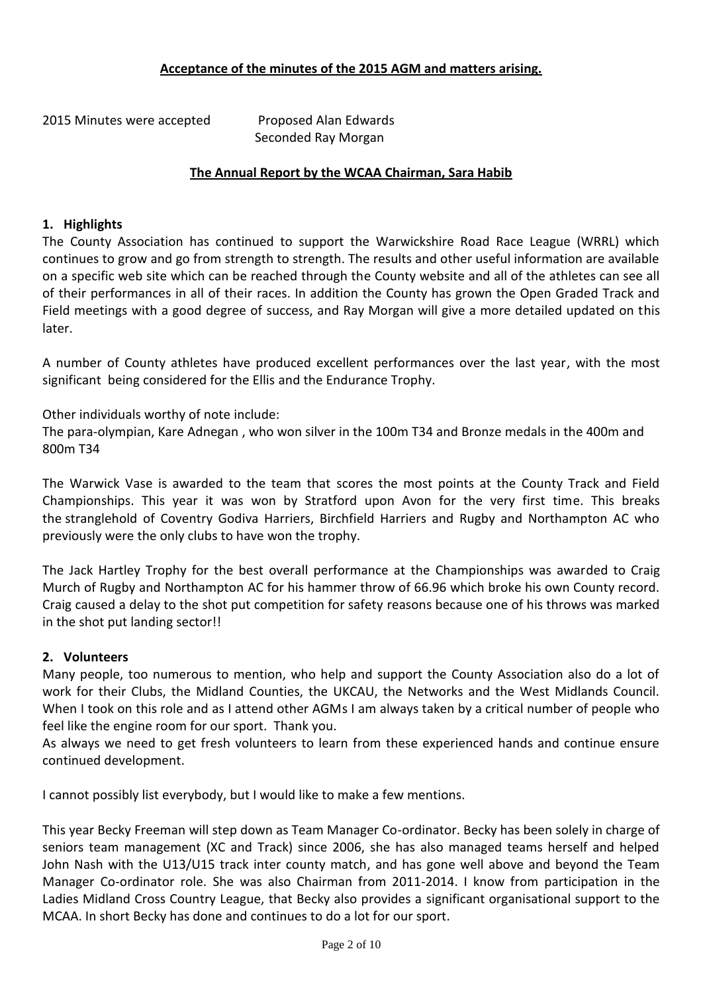## **Acceptance of the minutes of the 2015 AGM and matters arising.**

2015 Minutes were accepted Proposed Alan Edwards

Seconded Ray Morgan

## **The Annual Report by the WCAA Chairman, Sara Habib**

## **1. Highlights**

The County Association has continued to support the Warwickshire Road Race League (WRRL) which continues to grow and go from strength to strength. The results and other useful information are available on a specific web site which can be reached through the County website and all of the athletes can see all of their performances in all of their races. In addition the County has grown the Open Graded Track and Field meetings with a good degree of success, and Ray Morgan will give a more detailed updated on this later.

A number of County athletes have produced excellent performances over the last year, with the most significant being considered for the Ellis and the Endurance Trophy.

Other individuals worthy of note include:

The para-olympian, Kare Adnegan , who won silver in the 100m T34 and Bronze medals in the 400m and 800m T34

The Warwick Vase is awarded to the team that scores the most points at the County Track and Field Championships. This year it was won by Stratford upon Avon for the very first time. This breaks the stranglehold of Coventry Godiva Harriers, Birchfield Harriers and Rugby and Northampton AC who previously were the only clubs to have won the trophy.

The Jack Hartley Trophy for the best overall performance at the Championships was awarded to Craig Murch of Rugby and Northampton AC for his hammer throw of 66.96 which broke his own County record. Craig caused a delay to the shot put competition for safety reasons because one of his throws was marked in the shot put landing sector!!

## **2. Volunteers**

Many people, too numerous to mention, who help and support the County Association also do a lot of work for their Clubs, the Midland Counties, the UKCAU, the Networks and the West Midlands Council. When I took on this role and as I attend other AGMs I am always taken by a critical number of people who feel like the engine room for our sport. Thank you.

As always we need to get fresh volunteers to learn from these experienced hands and continue ensure continued development.

I cannot possibly list everybody, but I would like to make a few mentions.

This year Becky Freeman will step down as Team Manager Co-ordinator. Becky has been solely in charge of seniors team management (XC and Track) since 2006, she has also managed teams herself and helped John Nash with the U13/U15 track inter county match, and has gone well above and beyond the Team Manager Co-ordinator role. She was also Chairman from 2011-2014. I know from participation in the Ladies Midland Cross Country League, that Becky also provides a significant organisational support to the MCAA. In short Becky has done and continues to do a lot for our sport.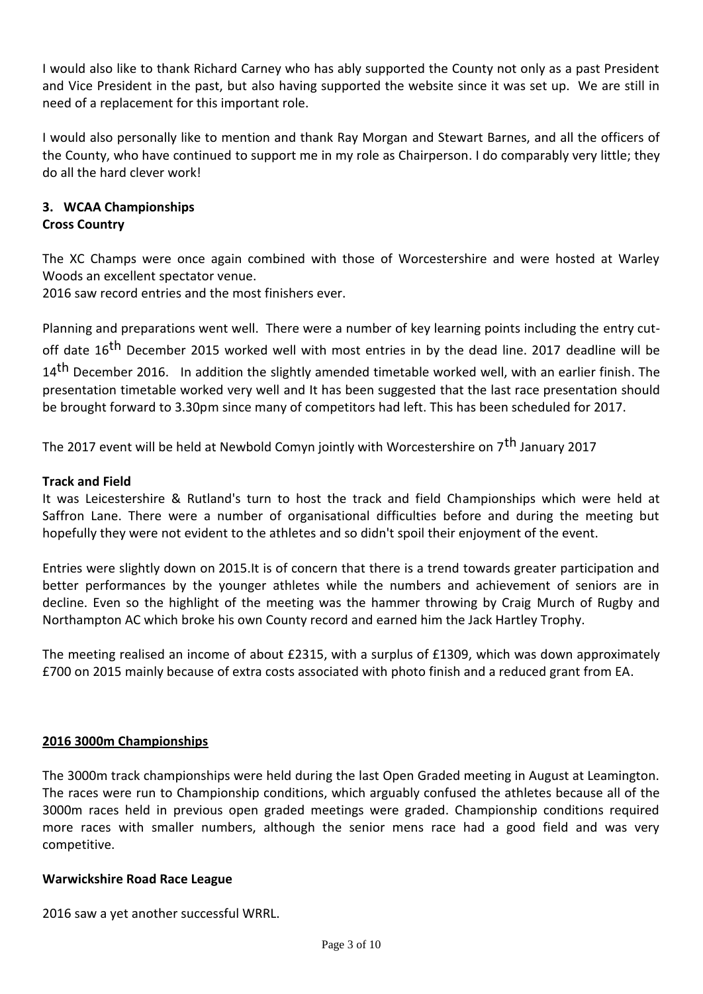I would also like to thank Richard Carney who has ably supported the County not only as a past President and Vice President in the past, but also having supported the website since it was set up. We are still in need of a replacement for this important role.

I would also personally like to mention and thank Ray Morgan and Stewart Barnes, and all the officers of the County, who have continued to support me in my role as Chairperson. I do comparably very little; they do all the hard clever work!

# **3. WCAA Championships Cross Country**

The XC Champs were once again combined with those of Worcestershire and were hosted at Warley Woods an excellent spectator venue.

2016 saw record entries and the most finishers ever.

Planning and preparations went well. There were a number of key learning points including the entry cutoff date 16<sup>th</sup> December 2015 worked well with most entries in by the dead line. 2017 deadline will be 14<sup>th</sup> December 2016. In addition the slightly amended timetable worked well, with an earlier finish. The presentation timetable worked very well and It has been suggested that the last race presentation should be brought forward to 3.30pm since many of competitors had left. This has been scheduled for 2017.

The 2017 event will be held at Newbold Comyn jointly with Worcestershire on 7<sup>th</sup> January 2017

## **Track and Field**

It was Leicestershire & Rutland's turn to host the track and field Championships which were held at Saffron Lane. There were a number of organisational difficulties before and during the meeting but hopefully they were not evident to the athletes and so didn't spoil their enjoyment of the event.

Entries were slightly down on 2015.It is of concern that there is a trend towards greater participation and better performances by the younger athletes while the numbers and achievement of seniors are in decline. Even so the highlight of the meeting was the hammer throwing by Craig Murch of Rugby and Northampton AC which broke his own County record and earned him the Jack Hartley Trophy.

The meeting realised an income of about £2315, with a surplus of £1309, which was down approximately £700 on 2015 mainly because of extra costs associated with photo finish and a reduced grant from EA.

## **2016 3000m Championships**

The 3000m track championships were held during the last Open Graded meeting in August at Leamington. The races were run to Championship conditions, which arguably confused the athletes because all of the 3000m races held in previous open graded meetings were graded. Championship conditions required more races with smaller numbers, although the senior mens race had a good field and was very competitive.

## **Warwickshire Road Race League**

2016 saw a yet another successful WRRL.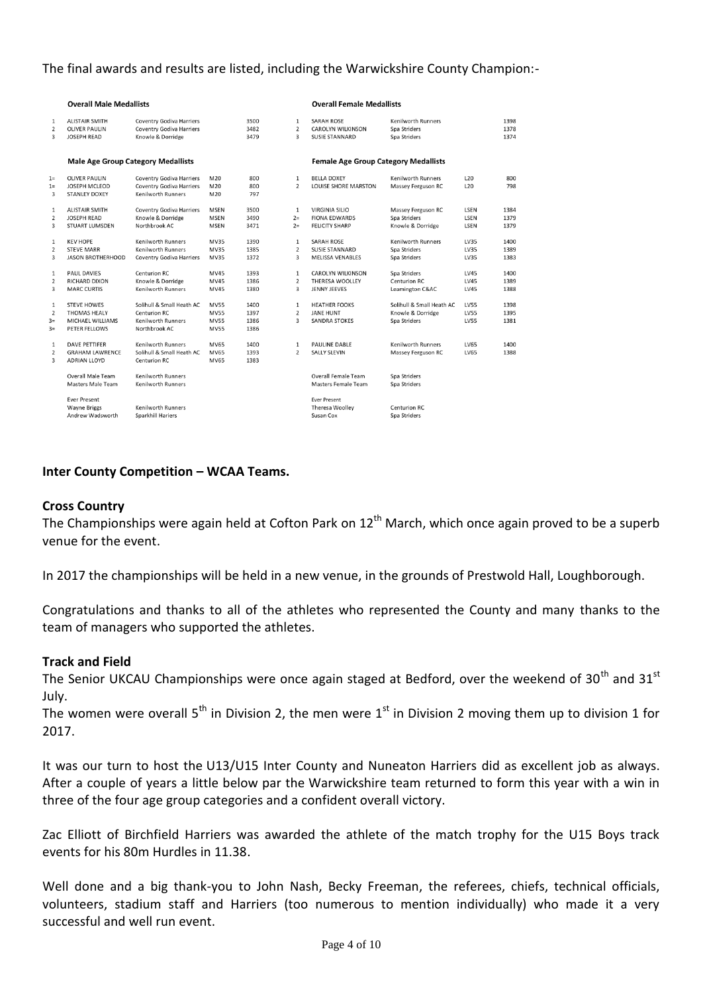## The final awards and results are listed, including the Warwickshire County Champion:-

|                | <b>Overall Male Medallists</b>            |                                 |             |      |                | <b>Overall Female Medallists</b>            |                           |             |      |
|----------------|-------------------------------------------|---------------------------------|-------------|------|----------------|---------------------------------------------|---------------------------|-------------|------|
| $\mathbf{1}$   | <b>ALISTAIR SMITH</b>                     | <b>Coventry Godiva Harriers</b> |             | 3500 | $\mathbf{1}$   | <b>SARAH ROSE</b>                           | <b>Kenilworth Runners</b> |             | 1398 |
| $\overline{2}$ | <b>OLIVER PAULIN</b>                      | <b>Coventry Godiva Harriers</b> |             | 3482 | $\overline{2}$ | CAROLYN WILKINSON                           | Spa Striders              |             | 1378 |
| 3              | <b>JOSEPH READ</b>                        | Knowle & Dorridge               |             | 3479 | 3              | <b>SUSIE STANNARD</b>                       | Spa Striders              |             | 1374 |
|                |                                           |                                 |             |      |                |                                             |                           |             |      |
|                | <b>Male Age Group Category Medallists</b> |                                 |             |      |                | <b>Female Age Group Category Medallists</b> |                           |             |      |
| $1 =$          | <b>OLIVER PAULIN</b>                      | <b>Coventry Godiva Harriers</b> | M20         | 800  | $\mathbf{1}$   | <b>BELLA DOXEY</b>                          | <b>Kenilworth Runners</b> | L20         | 800  |
| $1=$           | <b>JOSEPH MCLEOD</b>                      | <b>Coventry Godiva Harriers</b> | M20         | 800  | $\overline{2}$ | LOUISE SHORE MARSTON                        | Massey Ferguson RC        | L20         | 798  |
| 3              | <b>STANLEY DOXEY</b>                      | <b>Kenilworth Runners</b>       | M20         | 797  |                |                                             |                           |             |      |
| 1              | <b>ALISTAIR SMITH</b>                     | Coventry Godiva Harriers        | <b>MSEN</b> | 3500 | $\mathbf{1}$   | <b>VIRGINIA SILIO</b>                       | Massey Ferguson RC        | LSEN        | 1384 |
| 2              | <b>JOSEPH READ</b>                        | Knowle & Dorridge               | <b>MSEN</b> | 3490 | $2=$           | <b>FIONA EDWARDS</b>                        | Spa Striders              | LSEN        | 1379 |
| 3              | STUART LUMSDEN                            | Northbrook AC                   | <b>MSEN</b> | 3471 | $2=$           | <b>FELICITY SHARP</b>                       | Knowle & Dorridge         | LSEN        | 1379 |
| $\mathbf{1}$   | <b>KEV HOPE</b>                           | <b>Kenilworth Runners</b>       | <b>MV35</b> | 1390 | $\mathbf{1}$   | <b>SARAH ROSE</b>                           | <b>Kenilworth Runners</b> | LV35        | 1400 |
| 2              | <b>STEVE MARR</b>                         | Kenilworth Runners              | <b>MV35</b> | 1385 | $\overline{2}$ | <b>SUSIE STANNARD</b>                       | Spa Striders              | LV35        | 1389 |
| 3              | <b>JASON BROTHERHOOD</b>                  | Coventry Godiva Harriers        | <b>MV35</b> | 1372 | 3              | <b>MELISSA VENABLES</b>                     | Spa Striders              | LV35        | 1383 |
| $\mathbf{1}$   | PAUL DAVIES                               | Centurion RC                    | <b>MV45</b> | 1393 | $\mathbf{1}$   | <b>CAROLYN WILKINSON</b>                    | Spa Striders              | <b>LV45</b> | 1400 |
| $\overline{2}$ | RICHARD DIXON                             | Knowle & Dorridge               | <b>MV45</b> | 1386 | $\overline{2}$ | <b>THERESA WOOLLEY</b>                      | <b>Centurion RC</b>       | <b>LV45</b> | 1389 |
| 3              | <b>MARC CURTIS</b>                        | <b>Kenilworth Runners</b>       | MV45        | 1380 | 3              | <b>JENNY JEEVES</b>                         | Leamington C&AC           | <b>LV45</b> | 1388 |
| $\mathbf{1}$   | <b>STEVE HOWES</b>                        | Solihull & Small Heath AC       | <b>MV55</b> | 1400 | $\mathbf{1}$   | <b>HEATHER FOOKS</b>                        | Solihull & Small Heath AC | <b>LV55</b> | 1398 |
| 2              | <b>THOMAS HEALY</b>                       | Centurion RC                    | <b>MV55</b> | 1397 | $\overline{2}$ | <b>JANE HUNT</b>                            | Knowle & Dorridge         | <b>LV55</b> | 1395 |
| $3=$           | MICHAEL WILLIAMS                          | Kenilworth Runners              | <b>MV55</b> | 1386 | 3              | <b>SANDRA STOKES</b>                        | Spa Striders              | <b>LV55</b> | 1381 |
| $3=$           | PETER FELLOWS                             | Northbrook AC                   | <b>MV55</b> | 1386 |                |                                             |                           |             |      |
| 1              | <b>DAVE PETTIFER</b>                      | <b>Kenilworth Runners</b>       | <b>MV65</b> | 1400 | $\mathbf{1}$   | <b>PAULINE DABLE</b>                        | <b>Kenilworth Runners</b> | <b>LV65</b> | 1400 |
| 2              | <b>GRAHAM LAWRENCE</b>                    | Solihull & Small Heath AC       | <b>MV65</b> | 1393 | $\overline{2}$ | <b>SALLY SLEVIN</b>                         | Massey Ferguson RC        | LV65        | 1388 |
| 3              | <b>ADRIAN LLOYD</b>                       | <b>Centurion RC</b>             | MV65        | 1383 |                |                                             |                           |             |      |
|                | Overall Male Team                         | <b>Kenilworth Runners</b>       |             |      |                | Overall Female Team                         | Spa Striders              |             |      |
|                | <b>Masters Male Team</b>                  | Kenilworth Runners              |             |      |                | <b>Masters Female Team</b>                  | Spa Striders              |             |      |
|                | <b>Ever Present</b>                       |                                 |             |      |                | <b>Ever Present</b>                         |                           |             |      |
|                | <b>Wayne Briggs</b>                       | Kenilworth Runners              |             |      |                | Theresa Woolley                             | <b>Centurion RC</b>       |             |      |
|                | Andrew Wadsworth                          | Sparkhill Hariers               |             |      |                | Susan Cox                                   | Spa Striders              |             |      |
|                |                                           |                                 |             |      |                |                                             |                           |             |      |

## **Inter County Competition – WCAA Teams.**

#### **Cross Country**

The Championships were again held at Cofton Park on  $12<sup>th</sup>$  March, which once again proved to be a superb venue for the event.

In 2017 the championships will be held in a new venue, in the grounds of Prestwold Hall, Loughborough.

Congratulations and thanks to all of the athletes who represented the County and many thanks to the team of managers who supported the athletes.

#### **Track and Field**

The Senior UKCAU Championships were once again staged at Bedford, over the weekend of 30<sup>th</sup> and 31<sup>st</sup> July.

The women were overall  $5<sup>th</sup>$  in Division 2, the men were  $1<sup>st</sup>$  in Division 2 moving them up to division 1 for 2017.

It was our turn to host the U13/U15 Inter County and Nuneaton Harriers did as excellent job as always. After a couple of years a little below par the Warwickshire team returned to form this year with a win in three of the four age group categories and a confident overall victory.

Zac Elliott of Birchfield Harriers was awarded the athlete of the match trophy for the U15 Boys track events for his 80m Hurdles in 11.38.

Well done and a big thank-you to John Nash, Becky Freeman, the referees, chiefs, technical officials, volunteers, stadium staff and Harriers (too numerous to mention individually) who made it a very successful and well run event.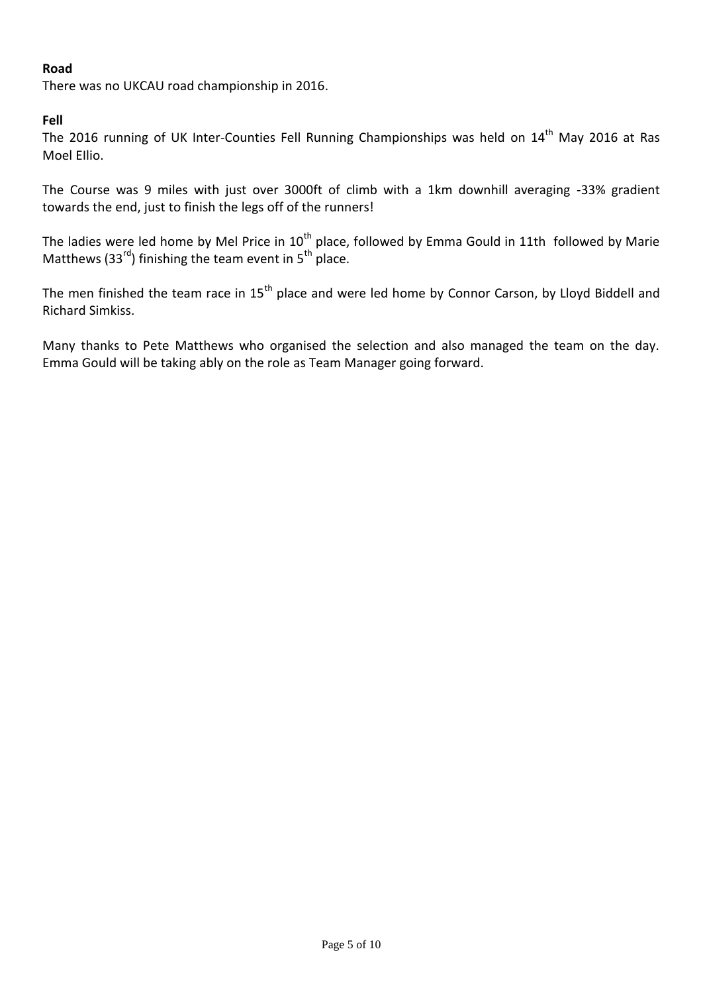# **Road**

There was no UKCAU road championship in 2016.

## **Fell**

The 2016 running of UK Inter-Counties Fell Running Championships was held on 14<sup>th</sup> May 2016 at Ras Moel EIlio.

The Course was 9 miles with just over 3000ft of climb with a 1km downhill averaging -33% gradient towards the end, just to finish the legs off of the runners!

The ladies were led home by Mel Price in  $10^{th}$  place, followed by Emma Gould in 11th followed by Marie Matthews (33 $^{rd}$ ) finishing the team event in 5<sup>th</sup> place.

The men finished the team race in 15<sup>th</sup> place and were led home by Connor Carson, by Lloyd Biddell and Richard Simkiss.

Many thanks to Pete Matthews who organised the selection and also managed the team on the day. Emma Gould will be taking ably on the role as Team Manager going forward.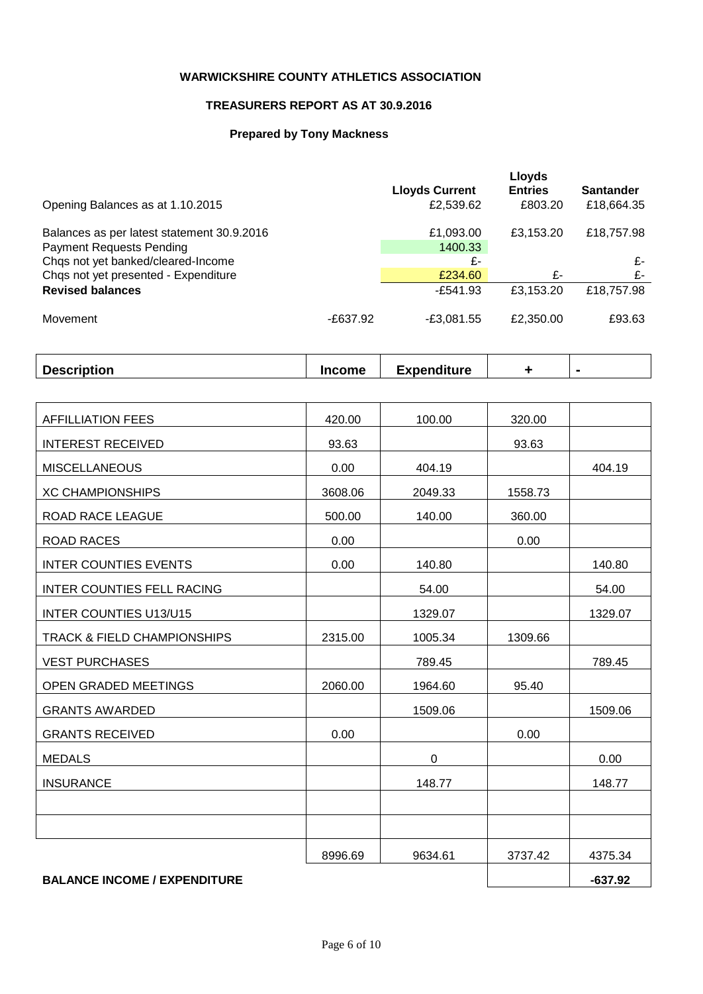## **WARWICKSHIRE COUNTY ATHLETICS ASSOCIATION**

## **TREASURERS REPORT AS AT 30.9.2016**

## **Prepared by Tony Mackness**

|                                                                               |            | <b>Lloyds Current</b> | Lloyds<br><b>Entries</b> | <b>Santander</b> |
|-------------------------------------------------------------------------------|------------|-----------------------|--------------------------|------------------|
| Opening Balances as at 1.10.2015                                              |            | £2,539.62             | £803.20                  | £18,664.35       |
| Balances as per latest statement 30.9.2016<br><b>Payment Requests Pending</b> |            | £1,093.00<br>1400.33  | £3.153.20                | £18,757.98       |
| Chqs not yet banked/cleared-Income                                            |            | £-                    |                          | £-               |
| Chqs not yet presented - Expenditure                                          |            | £234.60               | £-                       | £-               |
| <b>Revised balances</b>                                                       |            | $-£541.93$            | £3.153.20                | £18,757.98       |
| Movement                                                                      | $-E637.92$ | $-E3,081.55$          | £2,350.00                | £93.63           |

|  | <b>Description</b> | <b>Income</b> | <b>Expenditure</b> |  |  |
|--|--------------------|---------------|--------------------|--|--|
|--|--------------------|---------------|--------------------|--|--|

| <b>AFFILLIATION FEES</b>               | 420.00  | 100.00  | 320.00  |           |
|----------------------------------------|---------|---------|---------|-----------|
| <b>INTEREST RECEIVED</b>               | 93.63   |         | 93.63   |           |
| <b>MISCELLANEOUS</b>                   | 0.00    | 404.19  |         | 404.19    |
| <b>XC CHAMPIONSHIPS</b>                | 3608.06 | 2049.33 | 1558.73 |           |
| ROAD RACE LEAGUE                       | 500.00  | 140.00  | 360.00  |           |
| <b>ROAD RACES</b>                      | 0.00    |         | 0.00    |           |
| <b>INTER COUNTIES EVENTS</b>           | 0.00    | 140.80  |         | 140.80    |
| <b>INTER COUNTIES FELL RACING</b>      |         | 54.00   |         | 54.00     |
| <b>INTER COUNTIES U13/U15</b>          |         | 1329.07 |         | 1329.07   |
| <b>TRACK &amp; FIELD CHAMPIONSHIPS</b> | 2315.00 | 1005.34 | 1309.66 |           |
| <b>VEST PURCHASES</b>                  |         | 789.45  |         | 789.45    |
| OPEN GRADED MEETINGS                   | 2060.00 | 1964.60 | 95.40   |           |
| <b>GRANTS AWARDED</b>                  |         | 1509.06 |         | 1509.06   |
| <b>GRANTS RECEIVED</b>                 | 0.00    |         | 0.00    |           |
| <b>MEDALS</b>                          |         | 0       |         | 0.00      |
| <b>INSURANCE</b>                       |         | 148.77  |         | 148.77    |
|                                        |         |         |         |           |
|                                        |         |         |         |           |
|                                        | 8996.69 | 9634.61 | 3737.42 | 4375.34   |
| <b>BALANCE INCOME / EXPENDITURE</b>    |         |         |         | $-637.92$ |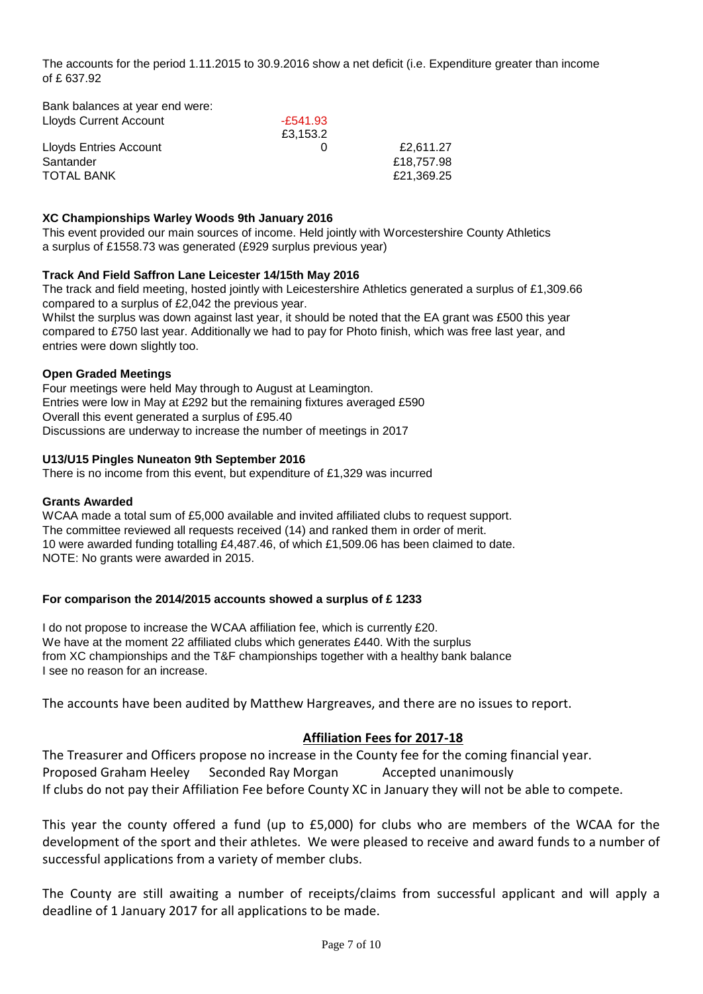The accounts for the period 1.11.2015 to 30.9.2016 show a net deficit (i.e. Expenditure greater than income of £ 637.92

| Dank balances at year end were. |          |            |
|---------------------------------|----------|------------|
| Lloyds Current Account          | -£541.93 |            |
|                                 | £3.153.2 |            |
| <b>Lloyds Entries Account</b>   |          | £2.611.27  |
| Santander                       |          | £18,757.98 |
| <b>TOTAL BANK</b>               |          | £21.369.25 |
|                                 |          |            |

#### **XC Championships Warley Woods 9th January 2016**

This event provided our main sources of income. Held jointly with Worcestershire County Athletics a surplus of £1558.73 was generated (£929 surplus previous year)

#### **Track And Field Saffron Lane Leicester 14/15th May 2016**

The track and field meeting, hosted jointly with Leicestershire Athletics generated a surplus of £1,309.66 compared to a surplus of £2,042 the previous year.

Whilst the surplus was down against last year, it should be noted that the EA grant was £500 this year compared to £750 last year. Additionally we had to pay for Photo finish, which was free last year, and entries were down slightly too.

#### **Open Graded Meetings**

Bank balances at year end were:

Four meetings were held May through to August at Leamington. Entries were low in May at £292 but the remaining fixtures averaged £590 Overall this event generated a surplus of £95.40 Discussions are underway to increase the number of meetings in 2017

#### **U13/U15 Pingles Nuneaton 9th September 2016**

There is no income from this event, but expenditure of £1,329 was incurred

#### **Grants Awarded**

WCAA made a total sum of £5,000 available and invited affiliated clubs to request support. The committee reviewed all requests received (14) and ranked them in order of merit. 10 were awarded funding totalling £4,487.46, of which £1,509.06 has been claimed to date. NOTE: No grants were awarded in 2015.

#### **For comparison the 2014/2015 accounts showed a surplus of £ 1233**

I do not propose to increase the WCAA affiliation fee, which is currently £20. We have at the moment 22 affiliated clubs which generates £440. With the surplus from XC championships and the T&F championships together with a healthy bank balance I see no reason for an increase.

The accounts have been audited by Matthew Hargreaves, and there are no issues to report.

### **Affiliation Fees for 2017-18**

The Treasurer and Officers propose no increase in the County fee for the coming financial year. Proposed Graham Heeley Seconded Ray Morgan Accepted unanimously If clubs do not pay their Affiliation Fee before County XC in January they will not be able to compete.

This year the county offered a fund (up to £5,000) for clubs who are members of the WCAA for the development of the sport and their athletes. We were pleased to receive and award funds to a number of successful applications from a variety of member clubs.

The County are still awaiting a number of receipts/claims from successful applicant and will apply a deadline of 1 January 2017 for all applications to be made.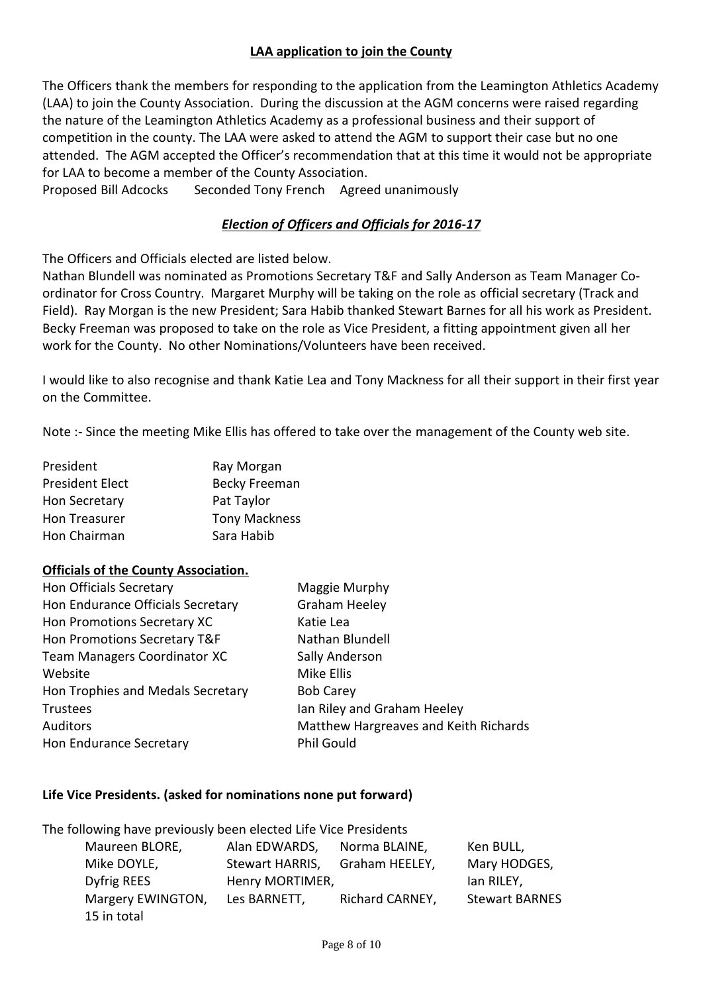# **LAA application to join the County**

The Officers thank the members for responding to the application from the Leamington Athletics Academy (LAA) to join the County Association. During the discussion at the AGM concerns were raised regarding the nature of the Leamington Athletics Academy as a professional business and their support of competition in the county. The LAA were asked to attend the AGM to support their case but no one attended. The AGM accepted the Officer's recommendation that at this time it would not be appropriate for LAA to become a member of the County Association.

Proposed Bill Adcocks Seconded Tony French Agreed unanimously

# *Election of Officers and Officials for 2016-17*

The Officers and Officials elected are listed below.

Nathan Blundell was nominated as Promotions Secretary T&F and Sally Anderson as Team Manager Coordinator for Cross Country. Margaret Murphy will be taking on the role as official secretary (Track and Field). Ray Morgan is the new President; Sara Habib thanked Stewart Barnes for all his work as President. Becky Freeman was proposed to take on the role as Vice President, a fitting appointment given all her work for the County. No other Nominations/Volunteers have been received.

I would like to also recognise and thank Katie Lea and Tony Mackness for all their support in their first year on the Committee.

Note :- Since the meeting Mike Ellis has offered to take over the management of the County web site.

| President              | Ray Morgan           |
|------------------------|----------------------|
| <b>President Elect</b> | <b>Becky Freeman</b> |
| Hon Secretary          | Pat Taylor           |
| Hon Treasurer          | <b>Tony Mackness</b> |
| Hon Chairman           | Sara Habib           |

## **Officials of the County Association.**

| Maggie Murphy                         |
|---------------------------------------|
| <b>Graham Heeley</b>                  |
| Katie Lea                             |
| Nathan Blundell                       |
| Sally Anderson                        |
| Mike Ellis                            |
| <b>Bob Carey</b>                      |
| Ian Riley and Graham Heeley           |
| Matthew Hargreaves and Keith Richards |
| <b>Phil Gould</b>                     |
|                                       |

## **Life Vice Presidents. (asked for nominations none put forward)**

The following have previously been elected Life Vice Presidents Maureen BLORE, Alan EDWARDS, Norma BLAINE, Ken BULL, Mike DOYLE, Stewart HARRIS, Graham HEELEY, Mary HODGES, Dyfrig REES **Henry MORTIMER,** The Most Clan RILEY, Margery EWINGTON, Les BARNETT, Richard CARNEY, Stewart BARNES 15 in total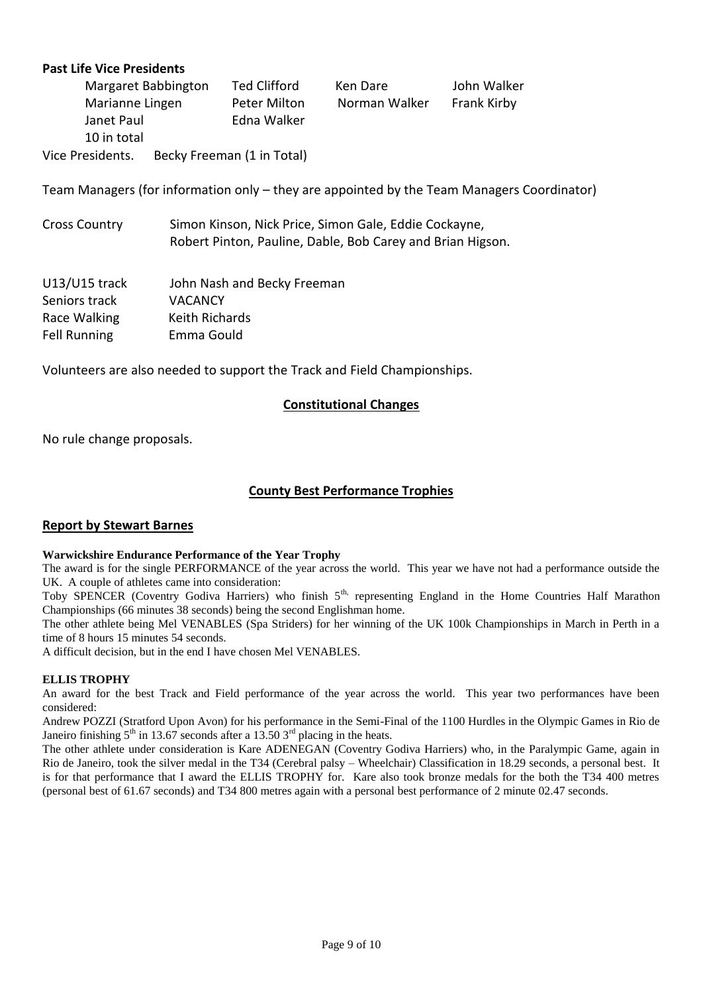## **Past Life Vice Presidents**

|                  | Margaret Babbington | Ted Clifford               | Ken Dare      | John Walker |
|------------------|---------------------|----------------------------|---------------|-------------|
| Marianne Lingen  |                     | Peter Milton               | Norman Walker | Frank Kirby |
| Janet Paul       |                     | Edna Walker                |               |             |
| 10 in total      |                     |                            |               |             |
| Vice Presidents. |                     | Becky Freeman (1 in Total) |               |             |

Team Managers (for information only – they are appointed by the Team Managers Coordinator)

| <b>Cross Country</b> | Simon Kinson, Nick Price, Simon Gale, Eddie Cockayne,      |
|----------------------|------------------------------------------------------------|
|                      | Robert Pinton, Pauline, Dable, Bob Carey and Brian Higson. |

| U13/U15 track       | John Nash and Becky Freeman |
|---------------------|-----------------------------|
| Seniors track       | <b>VACANCY</b>              |
| Race Walking        | Keith Richards              |
| <b>Fell Running</b> | Emma Gould                  |

Volunteers are also needed to support the Track and Field Championships.

#### **Constitutional Changes**

No rule change proposals.

## **County Best Performance Trophies**

#### **Report by Stewart Barnes**

#### **Warwickshire Endurance Performance of the Year Trophy**

The award is for the single PERFORMANCE of the year across the world. This year we have not had a performance outside the UK. A couple of athletes came into consideration:

Toby SPENCER (Coventry Godiva Harriers) who finish 5<sup>th,</sup> representing England in the Home Countries Half Marathon Championships (66 minutes 38 seconds) being the second Englishman home.

The other athlete being Mel VENABLES (Spa Striders) for her winning of the UK 100k Championships in March in Perth in a time of 8 hours 15 minutes 54 seconds.

A difficult decision, but in the end I have chosen Mel VENABLES.

#### **ELLIS TROPHY**

An award for the best Track and Field performance of the year across the world. This year two performances have been considered:

Andrew POZZI (Stratford Upon Avon) for his performance in the Semi-Final of the 1100 Hurdles in the Olympic Games in Rio de Janeiro finishing  $5<sup>th</sup>$  in 13.67 seconds after a 13.50  $3<sup>rd</sup>$  placing in the heats.

The other athlete under consideration is Kare ADENEGAN (Coventry Godiva Harriers) who, in the Paralympic Game, again in Rio de Janeiro, took the silver medal in the T34 (Cerebral palsy – Wheelchair) Classification in 18.29 seconds, a personal best. It is for that performance that I award the ELLIS TROPHY for. Kare also took bronze medals for the both the T34 400 metres (personal best of 61.67 seconds) and T34 800 metres again with a personal best performance of 2 minute 02.47 seconds.